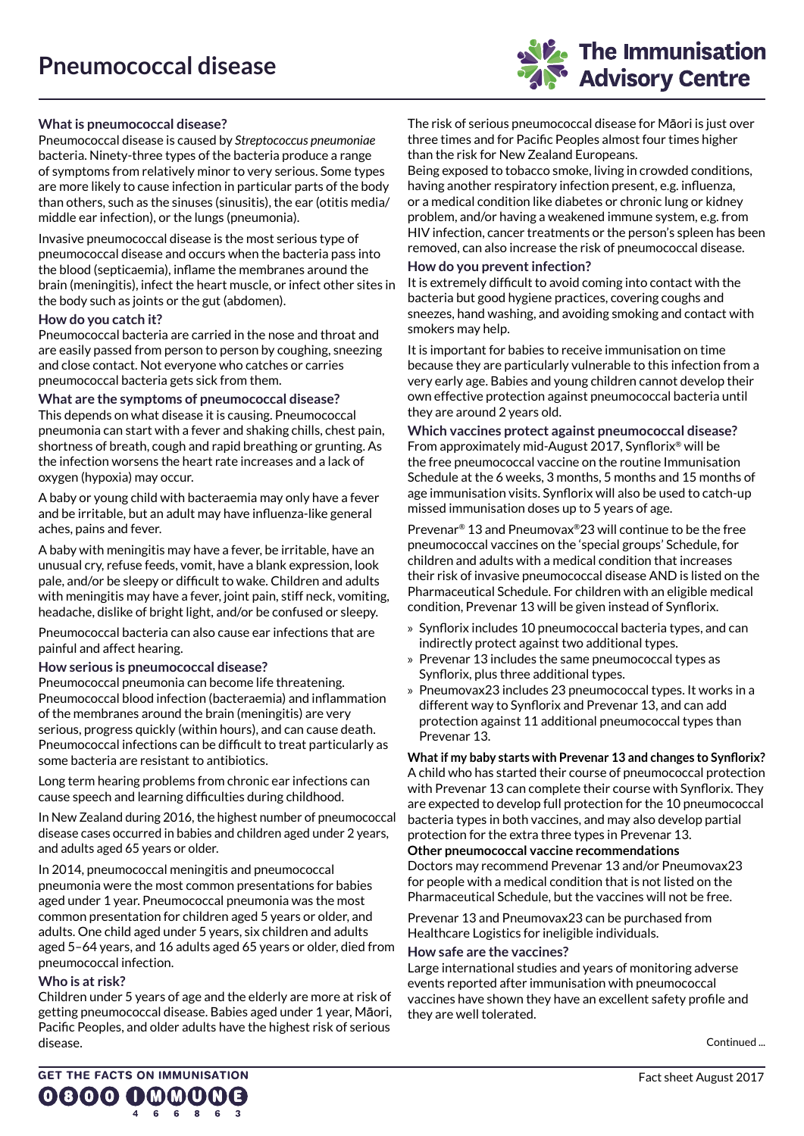

# **What is pneumococcal disease?**

Pneumococcal disease is caused by *Streptococcus pneumoniae* bacteria. Ninety-three types of the bacteria produce a range of symptoms from relatively minor to very serious. Some types are more likely to cause infection in particular parts of the body than others, such as the sinuses (sinusitis), the ear (otitis media/ middle ear infection), or the lungs (pneumonia).

Invasive pneumococcal disease is the most serious type of pneumococcal disease and occurs when the bacteria pass into the blood (septicaemia), inflame the membranes around the brain (meningitis), infect the heart muscle, or infect other sites in the body such as joints or the gut (abdomen).

### **How do you catch it?**

Pneumococcal bacteria are carried in the nose and throat and are easily passed from person to person by coughing, sneezing and close contact. Not everyone who catches or carries pneumococcal bacteria gets sick from them.

**What are the symptoms of pneumococcal disease?** This depends on what disease it is causing. Pneumococcal pneumonia can start with a fever and shaking chills, chest pain, shortness of breath, cough and rapid breathing or grunting. As the infection worsens the heart rate increases and a lack of oxygen (hypoxia) may occur.

A baby or young child with bacteraemia may only have a fever and be irritable, but an adult may have influenza-like general aches, pains and fever.

A baby with meningitis may have a fever, be irritable, have an unusual cry, refuse feeds, vomit, have a blank expression, look pale, and/or be sleepy or difficult to wake. Children and adults with meningitis may have a fever, joint pain, stiff neck, vomiting, headache, dislike of bright light, and/or be confused or sleepy.

Pneumococcal bacteria can also cause ear infections that are painful and affect hearing.

#### **How serious is pneumococcal disease?**

Pneumococcal pneumonia can become life threatening. Pneumococcal blood infection (bacteraemia) and inflammation of the membranes around the brain (meningitis) are very serious, progress quickly (within hours), and can cause death. Pneumococcal infections can be difficult to treat particularly as some bacteria are resistant to antibiotics.

Long term hearing problems from chronic ear infections can cause speech and learning difficulties during childhood.

In New Zealand during 2016, the highest number of pneumococcal disease cases occurred in babies and children aged under 2 years, and adults aged 65 years or older.

In 2014, pneumococcal meningitis and pneumococcal pneumonia were the most common presentations for babies aged under 1 year. Pneumococcal pneumonia was the most common presentation for children aged 5 years or older, and adults. One child aged under 5 years, six children and adults aged 5–64 years, and 16 adults aged 65 years or older, died from pneumococcal infection.

### **Who is at risk?**

Children under 5 years of age and the elderly are more at risk of getting pneumococcal disease. Babies aged under 1 year, Mäori, Pacific Peoples, and older adults have the highest risk of serious disease.

The risk of serious pneumococcal disease for Mäori is just over three times and for Pacific Peoples almost four times higher than the risk for New Zealand Europeans.

Being exposed to tobacco smoke, living in crowded conditions, having another respiratory infection present, e.g. influenza, or a medical condition like diabetes or chronic lung or kidney problem, and/or having a weakened immune system, e.g. from HIV infection, cancer treatments or the person's spleen has been removed, can also increase the risk of pneumococcal disease.

#### **How do you prevent infection?**

It is extremely difficult to avoid coming into contact with the bacteria but good hygiene practices, covering coughs and sneezes, hand washing, and avoiding smoking and contact with smokers may help.

It is important for babies to receive immunisation on time because they are particularly vulnerable to this infection from a very early age. Babies and young children cannot develop their own effective protection against pneumococcal bacteria until they are around 2 years old.

**Which vaccines protect against pneumococcal disease?** From approximately mid-August 2017, Synflorix® will be the free pneumococcal vaccine on the routine Immunisation Schedule at the 6 weeks, 3 months, 5 months and 15 months of age immunisation visits. Synflorix will also be used to catch-up missed immunisation doses up to 5 years of age.

Prevenar® 13 and Pneumovax®23 will continue to be the free pneumococcal vaccines on the 'special groups' Schedule, for children and adults with a medical condition that increases their risk of invasive pneumococcal disease AND is listed on the Pharmaceutical Schedule. For children with an eligible medical condition, Prevenar 13 will be given instead of Synflorix.

- » Synflorix includes 10 pneumococcal bacteria types, and can indirectly protect against two additional types.
- » Prevenar 13 includes the same pneumococcal types as Synflorix, plus three additional types.
- » Pneumovax23 includes 23 pneumococcal types. It works in a different way to Synflorix and Prevenar 13, and can add protection against 11 additional pneumococcal types than Prevenar 13.

**What if my baby starts with Prevenar 13 and changes to Synflorix?** A child who has started their course of pneumococcal protection with Prevenar 13 can complete their course with Synflorix. They are expected to develop full protection for the 10 pneumococcal bacteria types in both vaccines, and may also develop partial protection for the extra three types in Prevenar 13. **Other pneumococcal vaccine recommendations**

Doctors may recommend Prevenar 13 and/or Pneumovax23 for people with a medical condition that is not listed on the Pharmaceutical Schedule, but the vaccines will not be free.

Prevenar 13 and Pneumovax23 can be purchased from Healthcare Logistics for ineligible individuals.

#### **How safe are the vaccines?**

Large international studies and years of monitoring adverse events reported after immunisation with pneumococcal vaccines have shown they have an excellent safety profile and they are well tolerated.

Continued ...